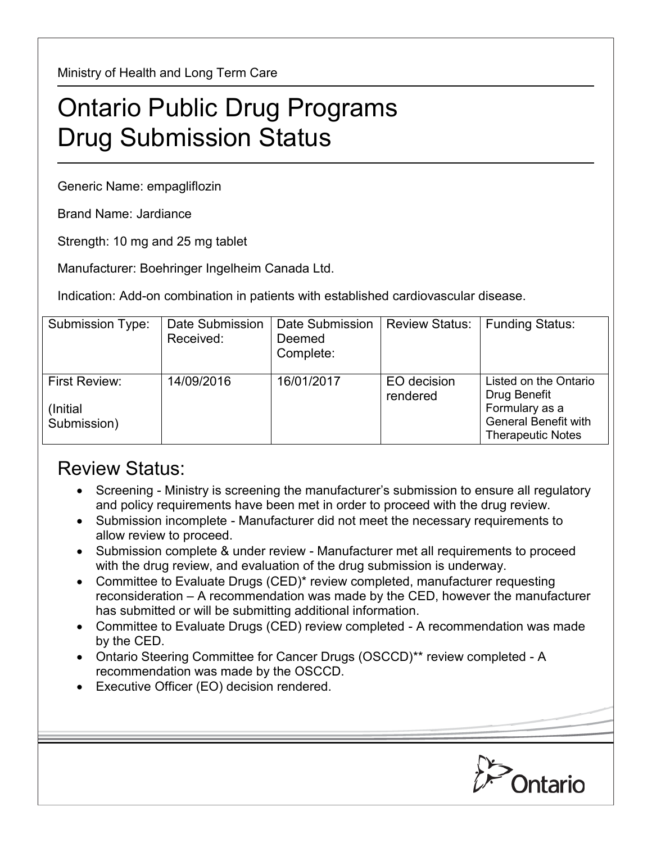Ministry of Health and Long Term Care

## Ontario Public Drug Programs Drug Submission Status

Generic Name: empagliflozin

Brand Name: Jardiance

Strength: 10 mg and 25 mg tablet

Manufacturer: Boehringer Ingelheim Canada Ltd.

Indication: Add-on combination in patients with established cardiovascular disease.

| Submission Type:                          | Date Submission<br>Received: | Date Submission<br>Deemed<br>Complete: | <b>Review Status:</b>   | <b>Funding Status:</b>                                                                                             |
|-------------------------------------------|------------------------------|----------------------------------------|-------------------------|--------------------------------------------------------------------------------------------------------------------|
| First Review:<br>(Initial)<br>Submission) | 14/09/2016                   | 16/01/2017                             | EO decision<br>rendered | Listed on the Ontario<br>Drug Benefit<br>Formulary as a<br><b>General Benefit with</b><br><b>Therapeutic Notes</b> |

## Review Status:

- Screening Ministry is screening the manufacturer's submission to ensure all regulatory and policy requirements have been met in order to proceed with the drug review.
- Submission incomplete Manufacturer did not meet the necessary requirements to allow review to proceed.
- Submission complete & under review Manufacturer met all requirements to proceed with the drug review, and evaluation of the drug submission is underway.
- Committee to Evaluate Drugs (CED)\* review completed, manufacturer requesting reconsideration – A recommendation was made by the CED, however the manufacturer has submitted or will be submitting additional information.
- Committee to Evaluate Drugs (CED) review completed A recommendation was made by the CED.
- Ontario Steering Committee for Cancer Drugs (OSCCD)\*\* review completed A recommendation was made by the OSCCD.
- Executive Officer (EO) decision rendered.